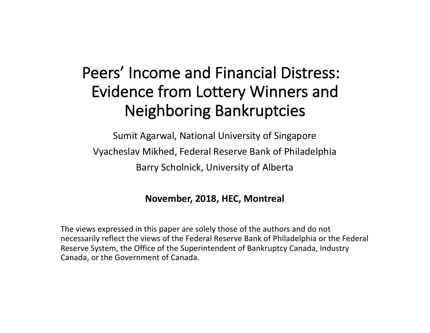### Peers' Income and Financial Distress: Evidence from Lottery Winners and Neighboring Bankruptcies

Sumit Agarwal, National University of Singapore Vyacheslav Mikhed, Federal Reserve Bank of Philadelphia Barry Scholnick, University of Alberta

### **November, 2018, HEC, Montreal**

The views expressed in this paper are solely those of the authors and do not necessarily reflect the views of the Federal Reserve Bank of Philadelphia or the Federal Reserve System, the Office of the Superintendent of Bankruptcy Canada, Industry Canada, or the Government of Canada.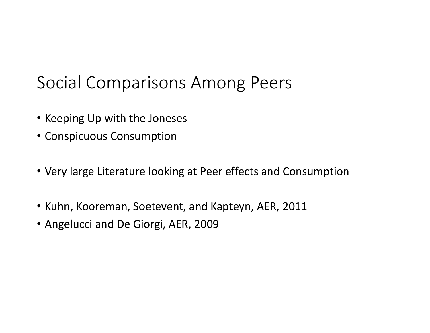## Social Comparisons Among Peers

- Keeping Up with the Joneses
- Conspicuous Consumption
- Very large Literature looking at Peer effects and Consumption
- Kuhn, Kooreman, Soetevent, and Kapteyn, AER, 2011
- Angelucci and De Giorgi, AER, 2009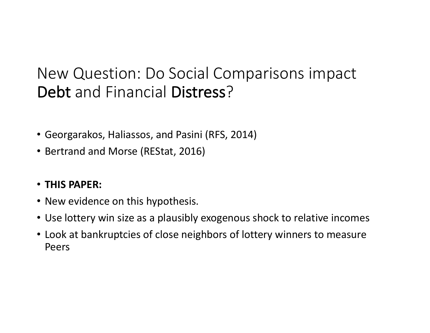### New Question: Do Social Comparisons impact Debt and Financial Distress?

- Georgarakos, Haliassos, and Pasini (RFS, 2014)
- Bertrand and Morse (REStat, 2016)
- **THIS PAPER:**
- New evidence on this hypothesis.
- Use lottery win size as a plausibly exogenous shock to relative incomes
- Look at bankruptcies of close neighbors of lottery winners to measure Peers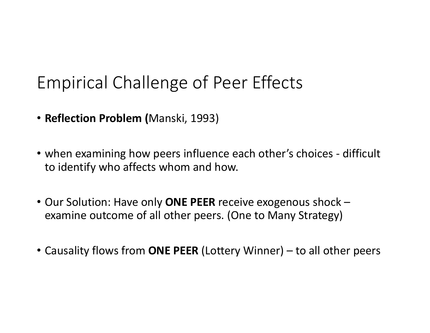# Empirical Challenge of Peer Effects

- **Reflection Problem (**Manski, 1993)
- when examining how peers influence each other's choices difficult to identify who affects whom and how.
- Our Solution: Have only **ONE PEER** receive exogenous shock examine outcome of all other peers. (One to Many Strategy)
- Causality flows from **ONE PEER** (Lottery Winner) to all other peers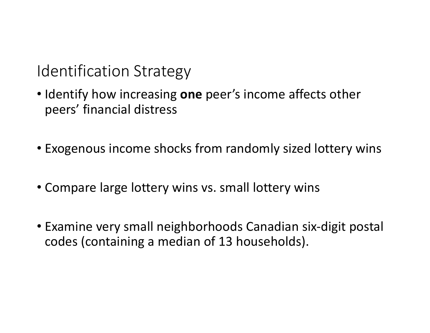**Identification Strategy** 

- Identify how increasing **one** peer's income affects other peers' financial distress
- Exogenous income shocks from randomly sized lottery wins
- Compare large lottery wins vs. small lottery wins
- Examine very small neighborhoods Canadian six-digit postal codes (containing a median of 13 households).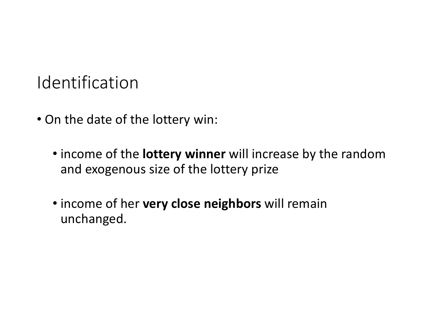## Identification

- On the date of the lottery win:
	- income of the **lottery winner** will increase by the random and exogenous size of the lottery prize
	- income of her **very close neighbors** will remain unchanged.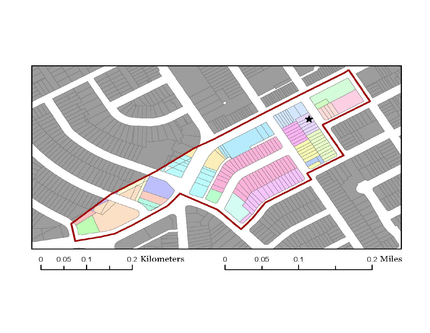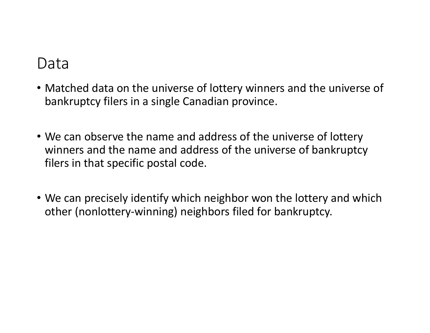### Data

- Matched data on the universe of lottery winners and the universe of bankruptcy filers in a single Canadian province.
- We can observe the name and address of the universe of lottery winners and the name and address of the universe of bankruptcy filers in that specific postal code.
- We can precisely identify which neighbor won the lottery and which other (nonlottery-winning) neighbors filed for bankruptcy.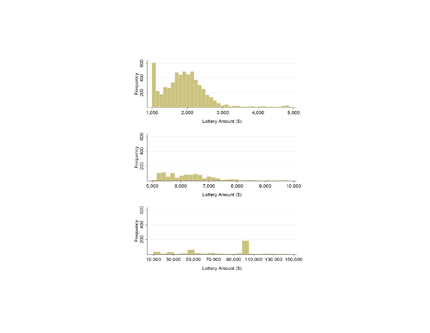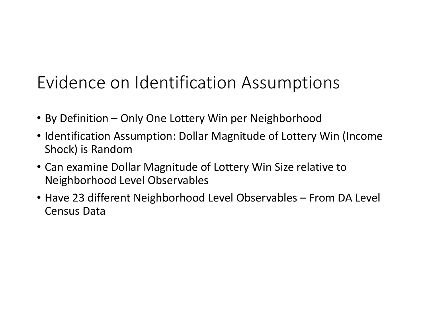# Evidence on Identification Assumptions

- By Definition Only One Lottery Win per Neighborhood
- Identification Assumption: Dollar Magnitude of Lottery Win (Income Shock) is Random
- Can examine Dollar Magnitude of Lottery Win Size relative to Neighborhood Level Observables
- Have 23 different Neighborhood Level Observables From DA Level Census Data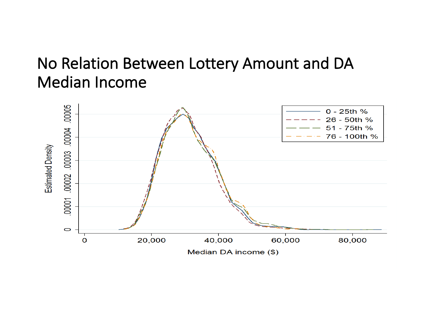### No Relation Between Lottery Amount and DA **Median Income**

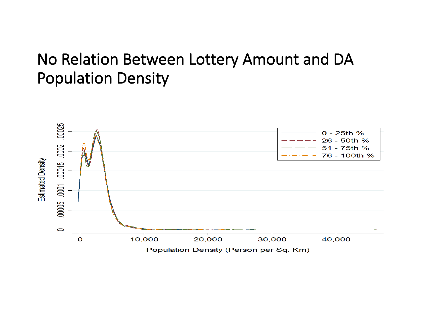### No Relation Between Lottery Amount and DA Population Density

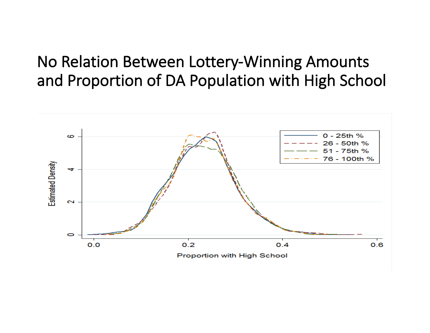### No Relation Between Lottery-Winning Amounts and Proportion of DA Population with High School

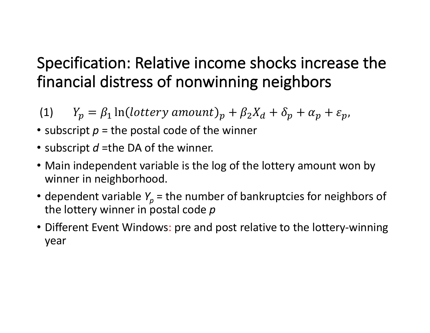### Specification: Relative income shocks increase the financial distress of nonwinning neighbors

(1)  $Y_p = \beta_1 \ln(\text{lottery amount})_p + \beta_2 X_d + \delta_p + \alpha_p + \varepsilon_p$ 

- subscript  $p =$  the postal code of the winner
- subscript *d* =the DA of the winner.
- Main independent variable is the log of the lottery amount won by winner in neighborhood.
- dependent variable  $Y_p$  = the number of bankruptcies for neighbors of the lottery winner in postal code  $p$
- Different Event Windows: pre and post relative to the lottery-winning year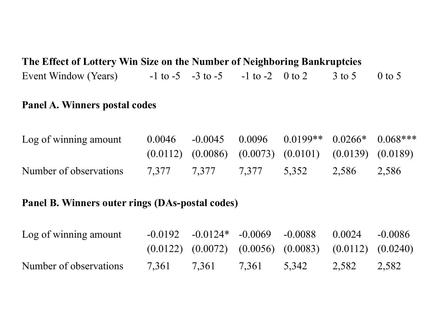### **The Effect of Lottery Win Size on the Number of Neighboring Bankruptcies**  Event Window (Years)  $-1$  to  $-5$   $-3$  to  $-5$   $-1$  to  $-2$  0 to 2 3 to 5 0 to 5

#### **Panel A. Winners postal codes**

| Log of winning amount  | 0.0046      |             | $-0.0045$ $0.0096$ $0.0199**$ $0.0266*$ $0.068***$                |             |  |
|------------------------|-------------|-------------|-------------------------------------------------------------------|-------------|--|
|                        |             |             | $(0.0112)$ $(0.0086)$ $(0.0073)$ $(0.0101)$ $(0.0139)$ $(0.0189)$ |             |  |
| Number of observations | 7.377 7.377 | 7,377 5,352 |                                                                   | 2,586 2,586 |  |

### **Panel B. Winners outer rings (DAs-postal codes)**

| Log of winning amount  |             |       | $-0.0192$ $-0.0124*$ $-0.0069$ $-0.0088$ $0.0024$                 |             | $-0.0086$ |
|------------------------|-------------|-------|-------------------------------------------------------------------|-------------|-----------|
|                        |             |       | $(0.0122)$ $(0.0072)$ $(0.0056)$ $(0.0083)$ $(0.0112)$ $(0.0240)$ |             |           |
| Number of observations | 7.361 7.361 | 7.361 | 5.342                                                             | 2,582 2,582 |           |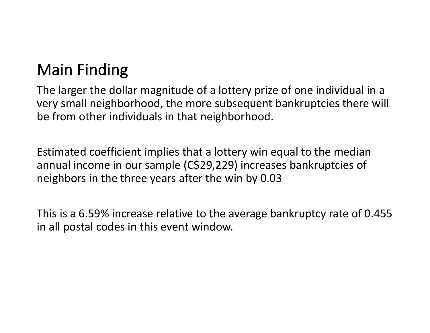## **Main Finding**

The larger the dollar magnitude of a lottery prize of one individual in a very small neighborhood, the more subsequent bankruptcies there will be from other individuals in that neighborhood.

Estimated coefficient implies that a lottery win equal to the median annual income in our sample (C\$29,229) increases bankruptcies of neighbors in the three years after the win by 0.03

This is a 6.59% increase relative to the average bankruptcy rate of 0.455 in all postal codes in this event window.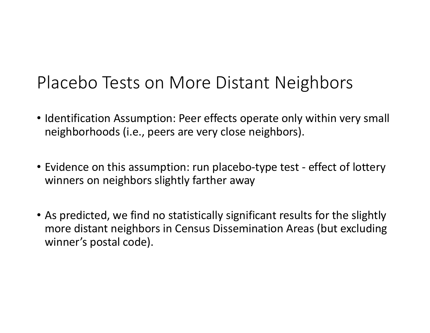## Placebo Tests on More Distant Neighbors

- Identification Assumption: Peer effects operate only within very small neighborhoods (i.e., peers are very close neighbors).
- Evidence on this assumption: run placebo-type test effect of lottery winners on neighbors slightly farther away
- As predicted, we find no statistically significant results for the slightly more distant neighbors in Census Dissemination Areas (but excluding winner's postal code).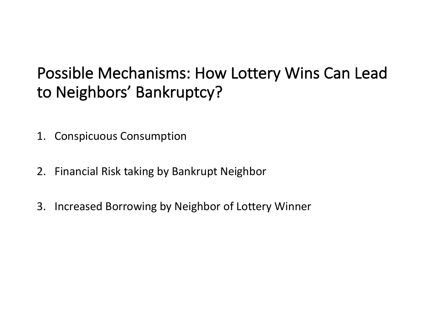### Possible Mechanisms: How Lottery Wins Can Lead to Neighbors' Bankruptcy?

- 1. Conspicuous Consumption
- 2. Financial Risk taking by Bankrupt Neighbor
- 3. Increased Borrowing by Neighbor of Lottery Winner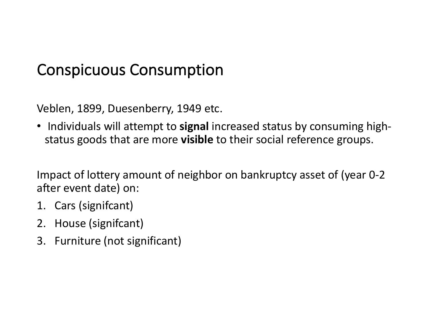### Conspicuous Consumption

Veblen, 1899, Duesenberry, 1949 etc.

• Individuals will attempt to signal increased status by consuming highstatus goods that are more **visible** to their social reference groups.

Impact of lottery amount of neighbor on bankruptcy asset of (year 0-2) after event date) on:

- 1. Cars (signifcant)
- 2. House (signifcant)
- 3. Furniture (not significant)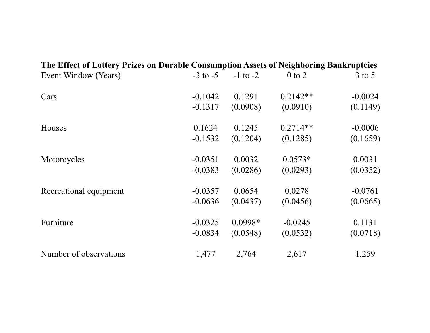| The Effect of Lottery Prizes on Durable Consumption Assets of Neighboring Bankruptcies |              |              |            |            |
|----------------------------------------------------------------------------------------|--------------|--------------|------------|------------|
| Event Window (Years)                                                                   | $-3$ to $-5$ | $-1$ to $-2$ | $0$ to $2$ | $3$ to $5$ |
| Cars                                                                                   | $-0.1042$    | 0.1291       | $0.2142**$ | $-0.0024$  |
|                                                                                        | $-0.1317$    | (0.0908)     | (0.0910)   | (0.1149)   |
| Houses                                                                                 | 0.1624       | 0.1245       | $0.2714**$ | $-0.0006$  |
|                                                                                        | $-0.1532$    | (0.1204)     | (0.1285)   | (0.1659)   |
| Motorcycles                                                                            | $-0.0351$    | 0.0032       | $0.0573*$  | 0.0031     |
|                                                                                        | $-0.0383$    | (0.0286)     | (0.0293)   | (0.0352)   |
| Recreational equipment                                                                 | $-0.0357$    | 0.0654       | 0.0278     | $-0.0761$  |
|                                                                                        | $-0.0636$    | (0.0437)     | (0.0456)   | (0.0665)   |
| Furniture                                                                              | $-0.0325$    | 0.0998*      | $-0.0245$  | 0.1131     |
|                                                                                        | $-0.0834$    | (0.0548)     | (0.0532)   | (0.0718)   |
| Number of observations                                                                 | 1,477        | 2,764        | 2,617      | 1,259      |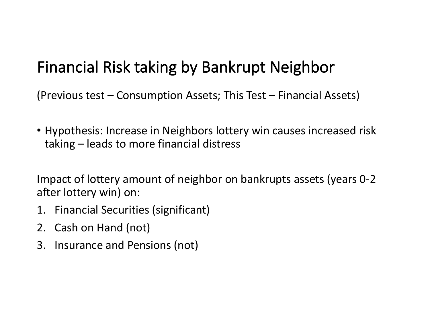### Financial Risk taking by Bankrupt Neighbor

(Previous test  $-$  Consumption Assets; This Test  $-$  Financial Assets)

• Hypothesis: Increase in Neighbors lottery win causes increased risk taking – leads to more financial distress

Impact of lottery amount of neighbor on bankrupts assets (years 0-2) after lottery win) on:

- 1. Financial Securities (significant)
- 2. Cash on Hand (not)
- 3. Insurance and Pensions (not)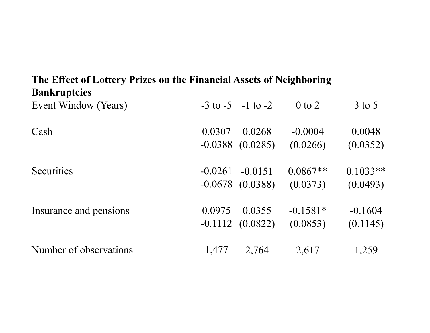### **The Effect of Lottery Prizes on the Financial Assets of Neighboring Bankruptcies**

| Event Window (Years)   |           | $-3$ to $-5$ $-1$ to $-2$ | $0$ to $2$ | $3$ to $5$ |
|------------------------|-----------|---------------------------|------------|------------|
| Cash                   | 0.0307    | 0.0268                    | $-0.0004$  | 0.0048     |
|                        |           | $-0.0388$ $(0.0285)$      | (0.0266)   | (0.0352)   |
| <b>Securities</b>      | $-0.0261$ | $-0.0151$                 | $0.0867**$ | $0.1033**$ |
|                        |           | $-0.0678$ $(0.0388)$      | (0.0373)   | (0.0493)   |
| Insurance and pensions | 0.0975    | 0.0355                    | $-0.1581*$ | $-0.1604$  |
|                        |           | $-0.1112$ $(0.0822)$      | (0.0853)   | (0.1145)   |
| Number of observations | 1,477     | 2,764                     | 2,617      | 1,259      |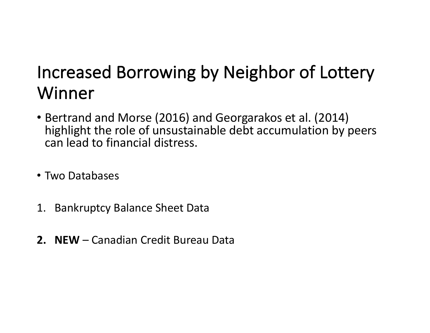# Increased Borrowing by Neighbor of Lottery Winner

- Bertrand and Morse (2016) and Georgarakos et al. (2014) highlight the role of unsustainable debt accumulation by peers can lead to financial distress.
- Two Databases
- 1. Bankruptcy Balance Sheet Data
- **2. NEW** Canadian Credit Bureau Data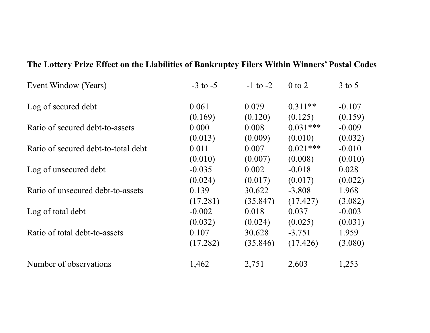| Event Window (Years)                | $-3$ to $-5$ | $-1$ to $-2$ | $0$ to $2$ | $3$ to 5 |
|-------------------------------------|--------------|--------------|------------|----------|
| Log of secured debt                 | 0.061        | 0.079        | $0.311**$  | $-0.107$ |
|                                     | (0.169)      | (0.120)      | (0.125)    | (0.159)  |
| Ratio of secured debt-to-assets     | 0.000        | 0.008        | $0.031***$ | $-0.009$ |
|                                     | (0.013)      | (0.009)      | (0.010)    | (0.032)  |
| Ratio of secured debt-to-total debt | 0.011        | 0.007        | $0.021***$ | $-0.010$ |
|                                     | (0.010)      | (0.007)      | (0.008)    | (0.010)  |
| Log of unsecured debt               | $-0.035$     | 0.002        | $-0.018$   | 0.028    |
|                                     | (0.024)      | (0.017)      | (0.017)    | (0.022)  |
| Ratio of unsecured debt-to-assets   | 0.139        | 30.622       | $-3.808$   | 1.968    |
|                                     | (17.281)     | (35.847)     | (17.427)   | (3.082)  |
| Log of total debt                   | $-0.002$     | 0.018        | 0.037      | $-0.003$ |
|                                     | (0.032)      | (0.024)      | (0.025)    | (0.031)  |
| Ratio of total debt-to-assets       | 0.107        | 30.628       | $-3.751$   | 1.959    |
|                                     | (17.282)     | (35.846)     | (17.426)   | (3.080)  |
| Number of observations              | 1,462        | 2,751        | 2,603      | 1,253    |

#### **The Lottery Prize Effect on the Liabilities of Bankruptcy Filers Within Winners' Postal Codes**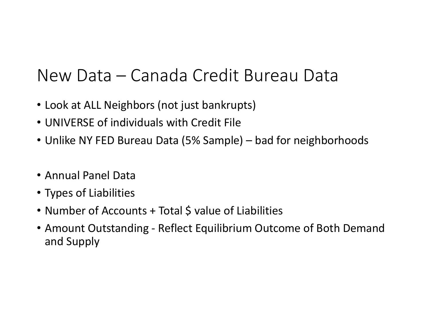# New Data – Canada Credit Bureau Data

- Look at ALL Neighbors (not just bankrupts)
- UNIVERSE of individuals with Credit File
- Unlike NY FED Bureau Data (5% Sample) bad for neighborhoods
- Annual Panel Data
- Types of Liabilities
- Number of Accounts + Total \$ value of Liabilities
- Amount Outstanding Reflect Equilibrium Outcome of Both Demand and Supply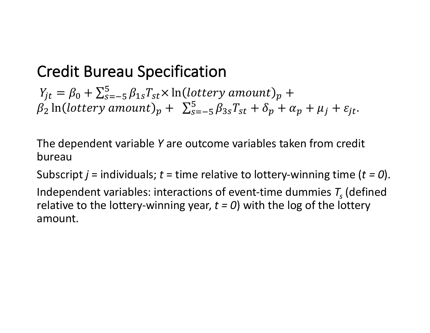### Credit Bureau Specification

 $Y_{jt} = \beta_0 + \sum_{s=-5}^{5} \beta_{1s} T_{st} \times \ln(lottery\ amount)_{p} +$  $\beta_2$  ln(lottery amount)<sub>p</sub> +  $\sum_{s=-5}^{5} \beta_{3s} T_{st} + \delta_p + \alpha_p + \mu_j + \varepsilon_{jt}$ .

The dependent variable Y are outcome variables taken from credit bureau

Subscript  $j =$  individuals;  $t =$  time relative to lottery-winning time  $(t = 0)$ .

Independent variables: interactions of event-time dummies  $T<sub>s</sub>$  (defined relative to the lottery-winning year,  $t = 0$ ) with the log of the lottery amount.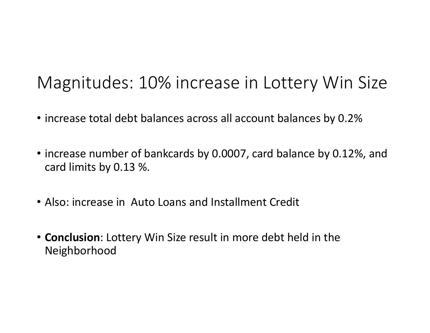## Magnitudes: 10% increase in Lottery Win Size

- increase total debt balances across all account balances by 0.2%
- increase number of bankcards by 0.0007, card balance by 0.12%, and card limits by 0.13 %.
- Also: increase in Auto Loans and Installment Credit
- **Conclusion**: Lottery Win Size result in more debt held in the Neighborhood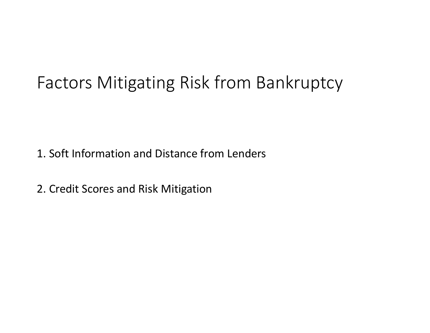# Factors Mitigating Risk from Bankruptcy

1. Soft Information and Distance from Lenders

2. Credit Scores and Risk Mitigation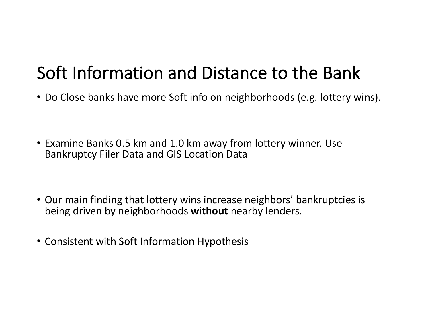# Soft Information and Distance to the Bank

- Do Close banks have more Soft info on neighborhoods (e.g. lottery wins).
- Examine Banks 0.5 km and 1.0 km away from lottery winner. Use Bankruptcy Filer Data and GIS Location Data
- Our main finding that lottery wins increase neighbors' bankruptcies is being driven by neighborhoods without nearby lenders.
- Consistent with Soft Information Hypothesis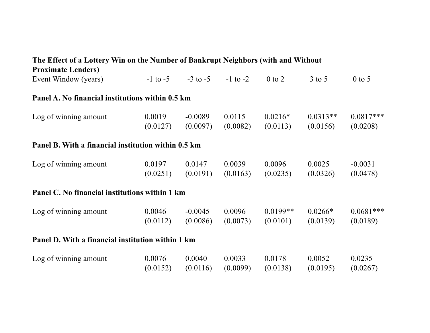### **The Effect of a Lottery Win on the Number of Bankrupt Neighbors (with and Without Proximate Lenders)**  Event Window (years)  $-1$  to  $-5$   $-3$  to  $-5$   $-1$  to  $-2$  0 to 2  $3$  to 5 0 to 5 **Panel A. No financial institutions within 0.5 km** Log of winning amount 0.0019 -0.0089 0.0115 0.0216\* 0.0313\*\* 0.0817\*\*\*

#### **Panel B. With a financial institution within 0.5 km**

| Log of winning amount | 0.0197   | 0.0147   | 0.0039   | 0.0096   | 0.0025   | $-0.0031$ |
|-----------------------|----------|----------|----------|----------|----------|-----------|
|                       | (0.0251) | (0.0191) | (0.0163) | (0.0235) | (0.0326) | (0.0478)  |

(0.0127) (0.0097) (0.0082) (0.0113) (0.0156) (0.0208)

#### **Panel C. No financial institutions within 1 km**

| Log of winning amount | 0.0046                                      | $-0.0045$ | 0.0096 | $0.0199**$ | $0.0266*$ | $0.0681***$ |
|-----------------------|---------------------------------------------|-----------|--------|------------|-----------|-------------|
|                       | $(0.0112)$ $(0.0086)$ $(0.0073)$ $(0.0101)$ |           |        |            | (0.0139)  | (0.0189)    |

#### **Panel D. With a financial institution within 1 km**

| Log of winning amount | 0.0076 | 0.0040 | 0.0033 | 0.0178                                                 | 0.0052 | 0.0235   |
|-----------------------|--------|--------|--------|--------------------------------------------------------|--------|----------|
|                       |        |        |        | $(0.0152)$ $(0.0116)$ $(0.0099)$ $(0.0138)$ $(0.0195)$ |        | (0.0267) |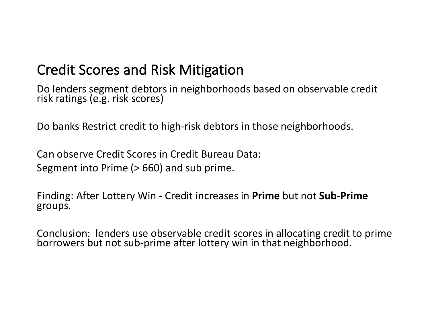### Credit Scores and Risk Mitigation

Do lenders segment debtors in neighborhoods based on observable credit risk ratings (e.g. risk scores)

Do banks Restrict credit to high-risk debtors in those neighborhoods.

Can observe Credit Scores in Credit Bureau Data: Segment into Prime  $(> 660)$  and sub prime.

Finding: After Lottery Win - Credit increases in **Prime** but not **Sub-Prime** groups.

Conclusion: lenders use observable credit scores in allocating credit to prime borrowers but not sub-prime after lottery win in that neighborhood.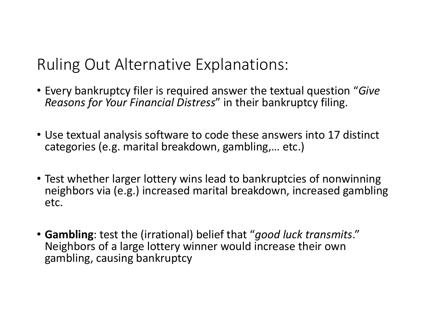Ruling Out Alternative Explanations:

- Every bankruptcy filer is required answer the textual question "*Give Reasons for Your Financial Distress*" in their bankruptcy filing.
- Use textual analysis software to code these answers into 17 distinct categories (e.g. marital breakdown, gambling,... etc.)
- Test whether larger lottery wins lead to bankruptcies of nonwinning neighbors via (e.g.) increased marital breakdown, increased gambling etc.
- Gambling: test the (irrational) belief that "good luck transmits." Neighbors of a large lottery winner would increase their own gambling, causing bankruptcy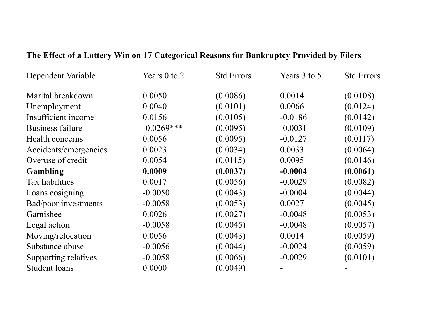| Dependent Variable    | Years 0 to 2  | <b>Std Errors</b> | Years 3 to 5 | <b>Std Errors</b> |
|-----------------------|---------------|-------------------|--------------|-------------------|
| Marital breakdown     | 0.0050        | (0.0086)          | 0.0014       | (0.0108)          |
| Unemployment          | 0.0040        | (0.0101)          | 0.0066       | (0.0124)          |
| Insufficient income   | 0.0156        | (0.0105)          | $-0.0186$    | (0.0142)          |
| Business failure      | $-0.0269$ *** | (0.0095)          | $-0.0031$    | (0.0109)          |
| Health concerns       | 0.0056        | (0.0095)          | $-0.0127$    | (0.0117)          |
| Accidents/emergencies | 0.0023        | (0.0034)          | 0.0033       | (0.0064)          |
| Overuse of credit     | 0.0054        | (0.0115)          | 0.0095       | (0.0146)          |
| <b>Gambling</b>       | 0.0009        | (0.0037)          | $-0.0004$    | (0.0061)          |
| Tax liabilities       | 0.0017        | (0.0056)          | $-0.0029$    | (0.0082)          |
| Loans cosigning       | $-0.0050$     | (0.0043)          | $-0.0004$    | (0.0044)          |
| Bad/poor investments  | $-0.0058$     | (0.0053)          | 0.0027       | (0.0045)          |
| Garnishee             | 0.0026        | (0.0027)          | $-0.0048$    | (0.0053)          |
| Legal action          | $-0.0058$     | (0.0045)          | $-0.0048$    | (0.0057)          |
| Moving/relocation     | 0.0056        | (0.0043)          | 0.0014       | (0.0059)          |
| Substance abuse       | $-0.0056$     | (0.0044)          | $-0.0024$    | (0.0059)          |
| Supporting relatives  | $-0.0058$     | (0.0066)          | $-0.0029$    | (0.0101)          |
| <b>Student loans</b>  | 0.0000        | (0.0049)          |              |                   |

### **The Effect of a Lottery Win on 17 Categorical Reasons for Bankruptcy Provided by Filers**